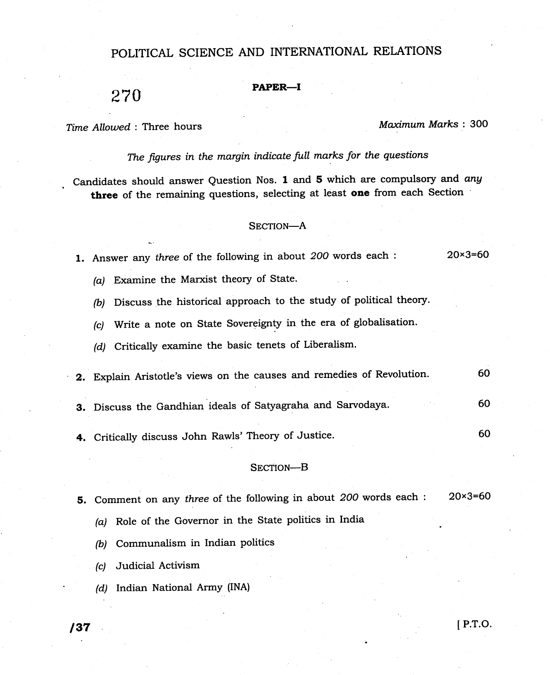# POLITICAL SCIENCE AND INTERNATIONAL RELATIONS

# $270$  Paper—I

Time Allowed: Three hours Maximum Marks: 300

The figures in the margin indicate full marks for the questions

Candidates should answer Question Nos. I and 5 which are compulsory and any three of the remaining questions, selecting at least one from each Section

## SECTION-A

1. Answer any three of the following in about 200 words each :  $20 \times 3 = 60$ 

(a) Examine the Marxist theory of State.

(b) Discuss the historical approach to the study of political theory.

(c) write a note on state sovereignty in the era of globalisation.

(d) Critically examine the basic tenets of Liberalism.

2. Explain Aristotle's views on the causes and remedies of Revolution. <sup>60</sup>

3. Discuss the Gandhian ideals of satyagraha and sarvodaya. 60

4, Critically discuss John Rawls'Theory of Justice.

### SECTION-B

5. Comment on any three of the following in about 200 words each :  $20 \times 3=60$ 

(a) Role of the Governor in the State politics in India

(b) Communalism in Indian politics

(c) Judicial Activism

(d) Indian National Army (INA)

60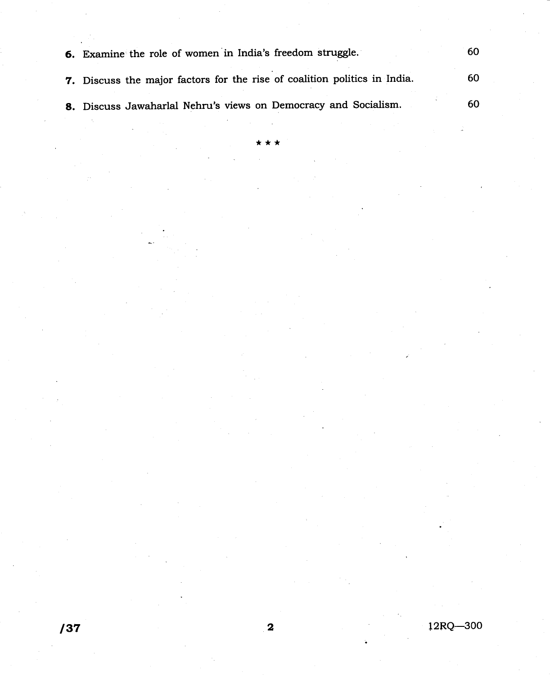| 6. Examine the role of women in India's freedom struggle.                 | 60 |
|---------------------------------------------------------------------------|----|
| 7. Discuss the major factors for the rise of coalition politics in India. | 60 |
| 8. Discuss Jawaharlal Nehru's views on Democracy and Socialism.           | 60 |

 $\star$ 

 $/37$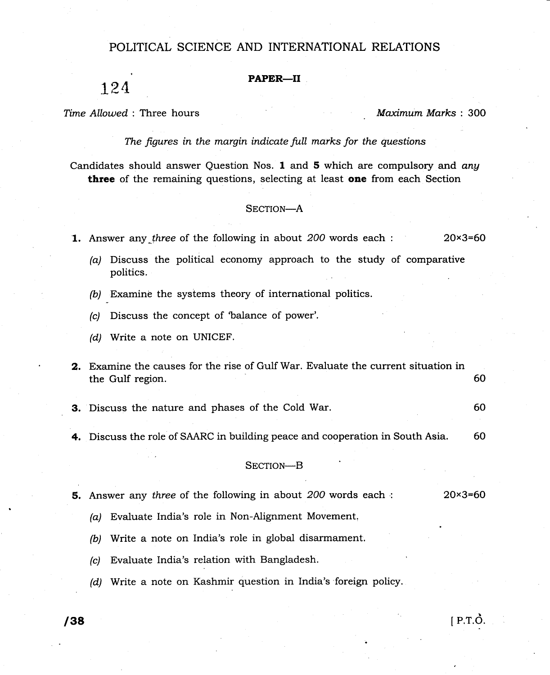## POLITICAL SCIENCE AND INTERNATIONAL RELATIONS

### PAPER-II

124

Time Allowed: Three hours and the material method of Maximum Marks : 300

 $[$  P.T. $\dot{O}$ .

60

The figures in the margin indicate full marks for the questions

Candidates should answer Question Nos, 1 and 5 which are compulsory and any three of the remaining questions, selecting at least one from each Section

#### SECTION-A

1. Answer any three of the following in about 200 words each :  $20 \times 3 = 60$ 

- (a) Discuss the political economy approach to the study of comparative politics.
- $(b)$  Examine the systems theory of international politics.
- (c) Discuss the concept of 'balance of power'.
- (d) Write a note on UNICEF.
- 2. Examine the causes for the rise of Gulf War. Evaluate the current situation in the Gulf region. 60
- 3. Discuss the nature and phases of the Cold War.
- 4. Discuss the role of SAARC in building peace and cooperation in South Asia. 60

#### SECTION-B

- **5.** Answer any three of the following in about  $200$  words each :  $20 \times 3 = 60$ 
	- (a) Evaluate India's role in Non-Alignment Movement.
	- (b) Write a note on India's role in global disarmament.
	- (c) Evaluate India's relation with Bangladesh.
	- (d) Write a note on Kashmir question in India's foreign policy.